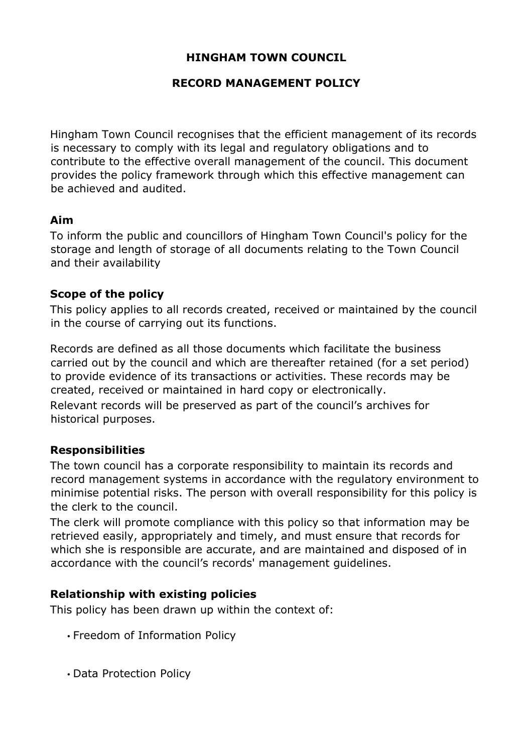## **HINGHAM TOWN COUNCIL**

## **RECORD MANAGEMENT POLICY**

Hingham Town Council recognises that the efficient management of its records is necessary to comply with its legal and regulatory obligations and to contribute to the effective overall management of the council. This document provides the policy framework through which this effective management can be achieved and audited.

### **Aim**

To inform the public and councillors of Hingham Town Council's policy for the storage and length of storage of all documents relating to the Town Council and their availability

## **Scope of the policy**

This policy applies to all records created, received or maintained by the council in the course of carrying out its functions.

Records are defined as all those documents which facilitate the business carried out by the council and which are thereafter retained (for a set period) to provide evidence of its transactions or activities. These records may be created, received or maintained in hard copy or electronically. Relevant records will be preserved as part of the council's archives for historical purposes.

## **Responsibilities**

The town council has a corporate responsibility to maintain its records and record management systems in accordance with the regulatory environment to minimise potential risks. The person with overall responsibility for this policy is the clerk to the council.

The clerk will promote compliance with this policy so that information may be retrieved easily, appropriately and timely, and must ensure that records for which she is responsible are accurate, and are maintained and disposed of in accordance with the council's records' management guidelines.

### **Relationship with existing policies**

This policy has been drawn up within the context of:

- Freedom of Information Policy
- Data Protection Policy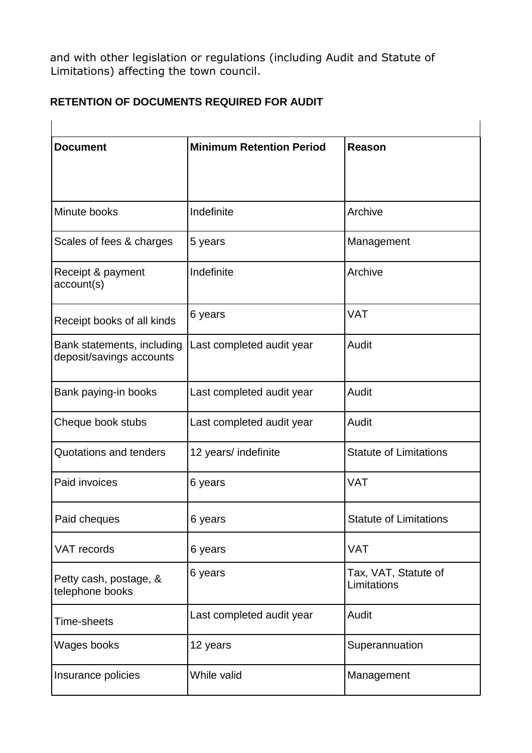and with other legislation or regulations (including Audit and Statute of Limitations) affecting the town council.

# **RETENTION OF DOCUMENTS REQUIRED FOR AUDIT**

| <b>Document</b>                                        | <b>Minimum Retention Period</b> | Reason                              |
|--------------------------------------------------------|---------------------------------|-------------------------------------|
| Minute books                                           | Indefinite                      | Archive                             |
| Scales of fees & charges                               | 5 years                         | Management                          |
| Receipt & payment<br>account(s)                        | Indefinite                      | Archive                             |
| Receipt books of all kinds                             | 6 years                         | <b>VAT</b>                          |
| Bank statements, including<br>deposit/savings accounts | Last completed audit year       | Audit                               |
| Bank paying-in books                                   | Last completed audit year       | Audit                               |
| Cheque book stubs                                      | Last completed audit year       | Audit                               |
| Quotations and tenders                                 | 12 years/ indefinite            | <b>Statute of Limitations</b>       |
| Paid invoices                                          | 6 years                         | <b>VAT</b>                          |
| Paid cheques                                           | 6 years                         | <b>Statute of Limitations</b>       |
| <b>VAT</b> records                                     | 6 years                         | <b>VAT</b>                          |
| Petty cash, postage, &<br>telephone books              | 6 years                         | Tax, VAT, Statute of<br>Limitations |
| Time-sheets                                            | Last completed audit year       | Audit                               |
| Wages books                                            | 12 years                        | Superannuation                      |
| Insurance policies                                     | While valid                     | Management                          |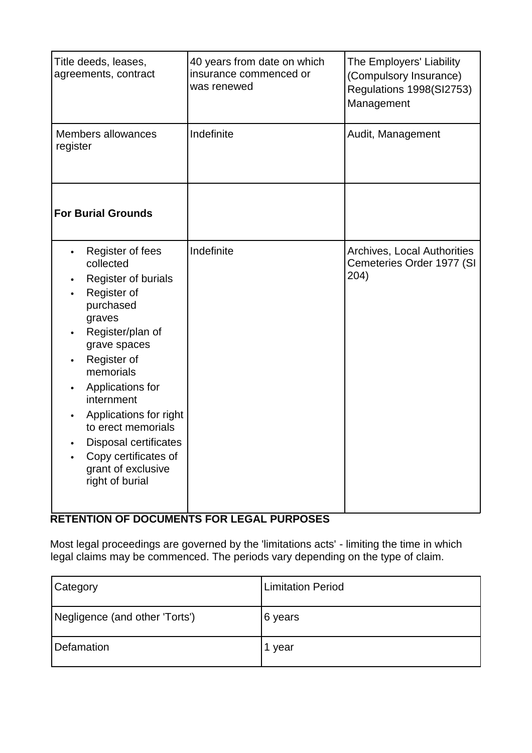| Title deeds, leases,<br>agreements, contract                                                                                                                                                                                                                                                                                           | 40 years from date on which<br>insurance commenced or<br>was renewed | The Employers' Liability<br>(Compulsory Insurance)<br>Regulations 1998(SI2753)<br>Management |
|----------------------------------------------------------------------------------------------------------------------------------------------------------------------------------------------------------------------------------------------------------------------------------------------------------------------------------------|----------------------------------------------------------------------|----------------------------------------------------------------------------------------------|
| Members allowances<br>register                                                                                                                                                                                                                                                                                                         | Indefinite                                                           | Audit, Management                                                                            |
| <b>For Burial Grounds</b>                                                                                                                                                                                                                                                                                                              |                                                                      |                                                                                              |
| Register of fees<br>collected<br>Register of burials<br>Register of<br>purchased<br>graves<br>Register/plan of<br>grave spaces<br>Register of<br>memorials<br>Applications for<br>internment<br>Applications for right<br>to erect memorials<br>Disposal certificates<br>Copy certificates of<br>grant of exclusive<br>right of burial | Indefinite                                                           | Archives, Local Authorities<br>Cemeteries Order 1977 (SI<br>204)                             |

# **RETENTION OF DOCUMENTS FOR LEGAL PURPOSES**

Most legal proceedings are governed by the 'limitations acts' - limiting the time in which legal claims may be commenced. The periods vary depending on the type of claim.

| <b>Category</b>                | <b>Limitation Period</b> |
|--------------------------------|--------------------------|
| Negligence (and other 'Torts') | 6 years                  |
| Defamation                     | year                     |